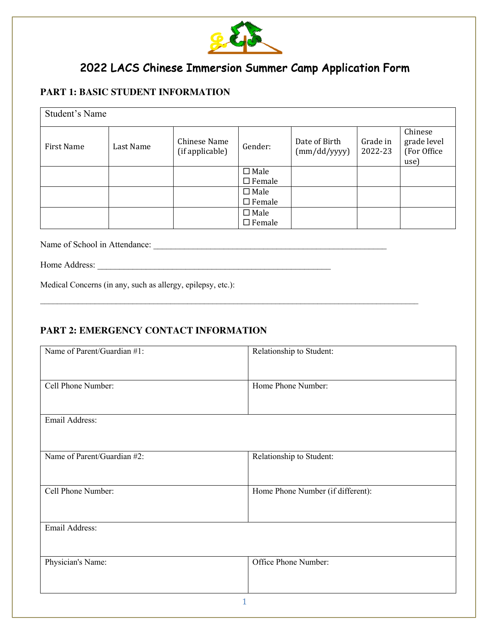

# 2022 LACS Chinese Immersion Summer Camp Application Form

### **PART 1: BASIC STUDENT INFORMATION**

| Student's Name |           |                                 |               |                               |                     |                                                |
|----------------|-----------|---------------------------------|---------------|-------------------------------|---------------------|------------------------------------------------|
| First Name     | Last Name | Chinese Name<br>(if applicable) | Gender:       | Date of Birth<br>(mm/dd/yyyy) | Grade in<br>2022-23 | Chinese<br>grade level<br>(For Office)<br>use) |
|                |           |                                 | $\Box$ Male   |                               |                     |                                                |
|                |           |                                 | $\Box$ Female |                               |                     |                                                |
|                |           |                                 | $\Box$ Male   |                               |                     |                                                |
|                |           |                                 | $\Box$ Female |                               |                     |                                                |
|                |           |                                 | $\Box$ Male   |                               |                     |                                                |
|                |           |                                 | $\Box$ Female |                               |                     |                                                |

 $\mathcal{L}_\text{max}$ 

Name of School in Attendance: \_\_\_\_\_\_\_\_\_\_\_\_\_\_\_\_\_\_\_\_\_\_\_\_\_\_\_\_\_\_\_\_\_\_\_\_\_\_\_\_\_\_\_\_\_\_\_\_\_\_\_\_\_

Home Address:

Medical Concerns (in any, such as allergy, epilepsy, etc.):

#### **PART 2: EMERGENCY CONTACT INFORMATION**

| Name of Parent/Guardian #1: | Relationship to Student:          |  |
|-----------------------------|-----------------------------------|--|
| Cell Phone Number:          | Home Phone Number:                |  |
|                             |                                   |  |
| Email Address:              |                                   |  |
| Name of Parent/Guardian #2: | Relationship to Student:          |  |
|                             |                                   |  |
| Cell Phone Number:          | Home Phone Number (if different): |  |
|                             |                                   |  |
| Email Address:              |                                   |  |
| Physician's Name:           | Office Phone Number:              |  |
|                             |                                   |  |
| 1                           |                                   |  |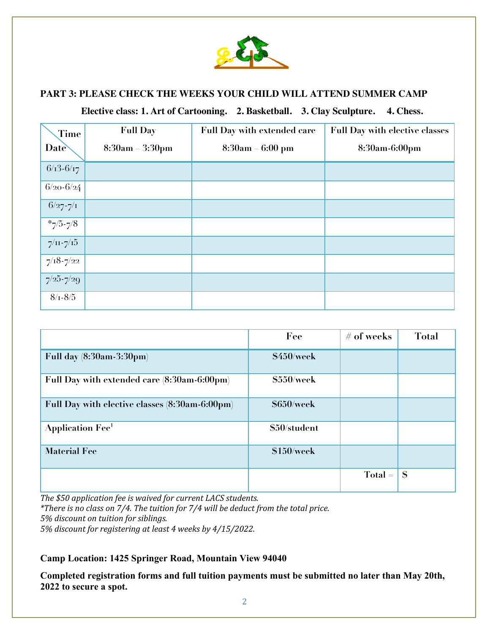

#### **PART 3: PLEASE CHECK THE WEEKS YOUR CHILD WILL ATTEND SUMMER CAMP**

 **Elective class: 1. Art of Cartooning. 2. Basketball. 3. Clay Sculpture. 4. Chess.**

| Time                      | <b>Full Day</b>              | <b>Full Day with extended care</b> | <b>Full Day with elective classes</b> |
|---------------------------|------------------------------|------------------------------------|---------------------------------------|
| Date                      | 3:30 <sub>pm</sub><br>8:30am | <b>8:30am</b><br>$-6:00~\rm{pm}$   | 8:30am-6:00pm                         |
| $6/13 - 6/17$             |                              |                                    |                                       |
| $6/20 - 6/24$             |                              |                                    |                                       |
| $6/27 - 7/1$              |                              |                                    |                                       |
| $*_{7/5-7/8}$             |                              |                                    |                                       |
| $7/\text{H} - 7/\text{H}$ |                              |                                    |                                       |
| $7/18 - 7/22$             |                              |                                    |                                       |
| $7/25 - 7/29$             |                              |                                    |                                       |
| $8/1 - 8/5$               |                              |                                    |                                       |

|                                                | Fee          | $#$ of weeks | Total        |
|------------------------------------------------|--------------|--------------|--------------|
| Full day (8:30am-3:30pm)                       | \$450/week   |              |              |
| Full Day with extended care (8:30am-6:00pm)    | \$550/week   |              |              |
| Full Day with elective classes (8:30am-6:00pm) | \$650/week   |              |              |
| <b>Application Fee<sup>1</sup></b>             | \$50/student |              |              |
| <b>Material Fee</b>                            | \$150/week   |              |              |
|                                                |              | $Total =$    | $\mathbb{S}$ |

The \$50 application fee is waived for current LACS students.

*\*There is no class on 7/4. The tuition for 7/4 will be deduct from the total price. 5% discount on tuition for siblings.*

5% *discount for registering at least 4 weeks by 4/15/2022.* 

#### **Camp Location: 1425 Springer Road, Mountain View 94040**

**Completed registration forms and full tuition payments must be submitted no later than May 20th, 2022 to secure a spot.**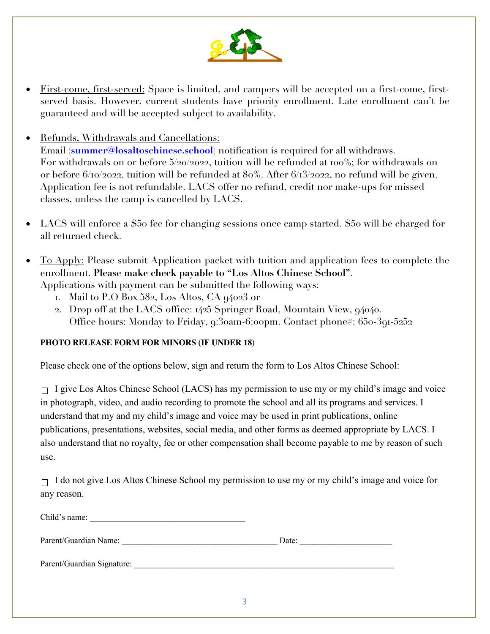

- First-come, first-served: Space is limited, and campers will be accepted on a first-come, firstserved basis. However, current students have priority enrollment. Late enrollment can't be guaranteed and will be accepted subject to availability.
- Refunds, Withdrawals and Cancellations:

Email (**summer@losaltoschinese.school**) notification is required for all withdraws. For withdrawals on or before 5/20/2022, tuition will be refunded at 100%; for withdrawals on or before 6/10/2022, tuition will be refunded at 80%. After 6/13/2022, no refund will be given. Application fee is not refundable. LACS offer no refund, credit nor make-ups for missed classes, unless the camp is cancelled by LACS.

- LACS will enforce a \$50 fee for changing sessions once camp started. \$50 will be charged for all returned check.
- To Apply: Please submit Application packet with tuition and application fees to complete the enrollment. **Please make check payable to "Los Altos Chinese School"**. Applications with payment can be submitted the following ways:
	- 1. Mail to  $P.O$  Box 582, Los Altos, CA  $q4023$  or
	- 2. Drop off at the LACS office: 1425 Springer Road, Mountain View, 94040. Office hours: Monday to Friday, 9:30am-6:00pm. Contact phone#: 650-391-5252

#### **PHOTO RELEASE FORM FOR MINORS (IF UNDER 18)**

Please check one of the options below, sign and return the form to Los Altos Chinese School:

 $\Box$  I give Los Altos Chinese School (LACS) has my permission to use my or my child's image and voice in photograph, video, and audio recording to promote the school and all its programs and services. I understand that my and my child's image and voice may be used in print publications, online publications, presentations, websites, social media, and other forms as deemed appropriate by LACS. I also understand that no royalty, fee or other compensation shall become payable to me by reason of such use.

 $\Box$  I do not give Los Altos Chinese School my permission to use my or my child's image and voice for any reason.

| Chilq<br>ıme: |  |
|---------------|--|
|               |  |

Parent/Guardian Name: \_\_\_\_\_\_\_\_\_\_\_\_\_\_\_\_\_\_\_\_\_\_\_\_\_\_\_\_\_\_\_\_\_\_\_\_\_ Date: \_\_\_\_\_\_\_\_\_\_\_\_\_\_\_\_\_\_\_\_\_\_

Parent/Guardian Signature: